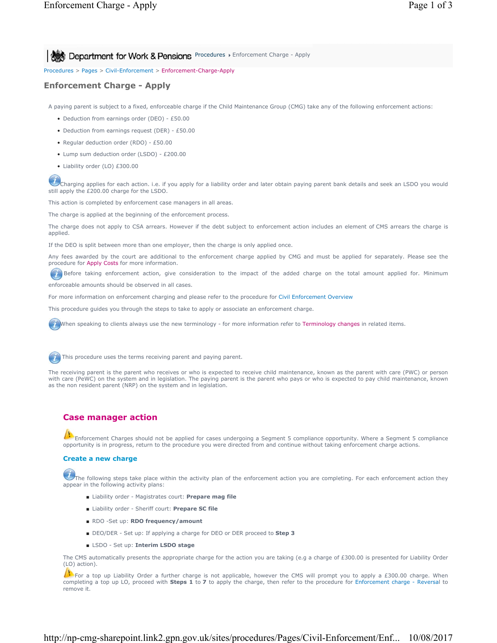**Procedures > Enforcement Charge - Apply Procedures > Enforcement Charge - Apply** 

Procedures > Pages > Civil-Enforcement > Enforcement-Charge-Apply

## **Enforcement Charge - Apply**

A paying parent is subject to a fixed, enforceable charge if the Child Maintenance Group (CMG) take any of the following enforcement actions:

- Deduction from earnings order (DEO) £50.00
- Deduction from earnings request (DER) £50.00
- Regular deduction order (RDO) £50.00
- Lump sum deduction order (LSDO) £200.00
- Liability order (LO) £300.00

Charging applies for each action. i.e. if you apply for a liability order and later obtain paying parent bank details and seek an LSDO you would still apply the £200.00 charge for the LSDO.

This action is completed by enforcement case managers in all areas.

The charge is applied at the beginning of the enforcement process.

The charge does not apply to CSA arrears. However if the debt subject to enforcement action includes an element of CMS arrears the charge is applied.

If the DEO is split between more than one employer, then the charge is only applied once.

Any fees awarded by the court are additional to the enforcement charge applied by CMG and must be applied for separately. Please see the procedure for Apply Costs for more information.

Before taking enforcement action, give consideration to the impact of the added charge on the total amount applied for. Minimum enforceable amounts should be observed in all cases.

For more information on enforcement charging and please refer to the procedure for Civil Enforcement Overview

This procedure guides you through the steps to take to apply or associate an enforcement charge.

When speaking to clients always use the new terminology - for more information refer to Terminology changes in related items.

This procedure uses the terms receiving parent and paying parent.

The receiving parent is the parent who receives or who is expected to receive child maintenance, known as the parent with care (PWC) or person with care (PeWC) on the system and in legislation. The paying parent is the parent who pays or who is expected to pay child maintenance, known as the non resident parent (NRP) on the system and in legislation.

# **Case manager action**

Enforcement Charges should not be applied for cases undergoing a Segment 5 compliance opportunity. Where a Segment 5 compliance opportunity is in progress, return to the procedure you were directed from and continue without taking enforcement charge actions.

### **Create a new charge**

The following steps take place within the activity plan of the enforcement action you are completing. For each enforcement action they appear in the following activity plans:

- Liability order Magistrates court: **Prepare mag file**
- Liability order Sheriff court: **Prepare SC file**
- RDO -Set up: **RDO frequency/amount**
- DEO/DER Set up: If applying a charge for DEO or DER proceed to Step 3
- LSDO Set up: **Interim LSDO stage**

The CMS automatically presents the appropriate charge for the action you are taking (e.g a charge of £300.00 is presented for Liability Order (LO) action).

For a top up Liability Order a further charge is not applicable, however the CMS will prompt you to apply a £300.00 charge. When completing a top up LO, proceed with **Steps 1** to **7** to apply the charge, then refer to the procedure for Enforcement charge - Reversal to remove it.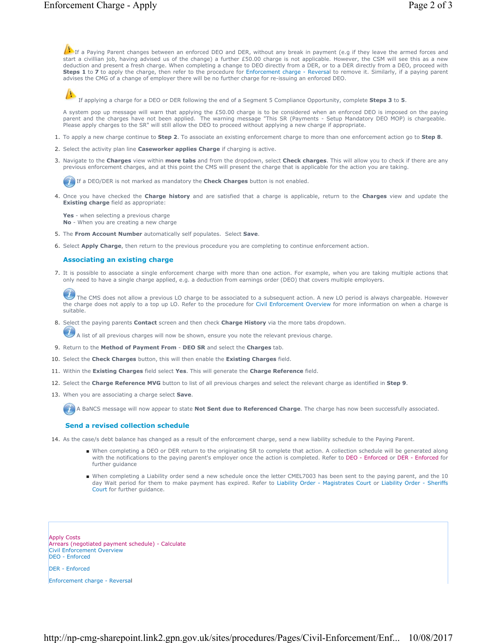If a Paying Parent changes between an enforced DEO and DER, without any break in payment (e.g if they leave the armed forces and start a civillian job, having advised us of the change) a further £50.00 charge is not applicable. However, the CSM will see this as a new deduction and present a fresh charge. When completing a change to DEO directly from a DER, or to a DER directly from a DEO, proceed with<br>**Steps 1** to **7** to apply the charge, then refer to the procedure for Enforcement cha advises the CMG of a change of employer there will be no further charge for re-issuing an enforced DEO.

If applying a charge for a DEO or DER following the end of a Segment 5 Compliance Opportunity, complete **Steps 3** to **5**.

A system pop up message will warn that applying the £50.00 charge is to be considered when an enforced DEO is imposed on the paying parent and the charges have not been applied. The warning message "This SR (Payments - Setup Mandatory DEO MOP) is chargeable.<br>Please apply charges to the SR" will still allow the DEO to proceed without applying a new char

- 1. To apply a new charge continue to **Step 2**. To associate an existing enforcement charge to more than one enforcement action go to **Step 8**.
- 2. Select the activity plan line **Caseworker applies Charge** if charging is active.
- Navigate to the **Charges** view within **more tabs** and from the dropdown, select **Check charges**. This will allow you to check if there are any 3. previous enforcement charges, and at this point the CMS will present the charge that is applicable for the action you are taking.

If a DEO/DER is not marked as mandatory the **Check Charges** button is not enabled.

4. Once you have checked the Charge history and are satisfied that a charge is applicable, return to the Charges view and update the **Existing charge** field as appropriate:

**Yes** - when selecting a previous charge **No** - When you are creating a new charge

- 5. The **From Account Number** automatically self populates. Select **Save**.
- 6. Select **Apply Charge**, then return to the previous procedure you are completing to continue enforcement action.

### **Associating an existing charge**

It is possible to associate a single enforcement charge with more than one action. For example, when you are taking multiple actions that 7. only need to have a single charge applied, e.g. a deduction from earnings order (DEO) that covers multiple employers.

The CMS does not allow a previous LO charge to be associated to a subsequent action. A new LO period is always chargeable. However the charge does not apply to a top up LO. Refer to the procedure for Civil Enforcement Overview for more information on when a charge is suitable.

8. Select the paying parents **Contact** screen and then check **Charge History** via the more tabs dropdown.

 $U$  A list of all previous charges will now be shown, ensure you note the relevant previous charge.

- 9. Return to the **Method of Payment From DEO SR** and select the **Charges** tab.
- 10. Select the **Check Charges** button, this will then enable the **Existing Charges** field.
- 11. Within the **Existing Charges** field select **Yes**. This will generate the **Charge Reference** field.
- 12. Select the **Charge Reference MVG** button to list of all previous charges and select the relevant charge as identified in **Step 9**.
- 13. When you are associating a charge select **Save**.

A BaNCS message will now appear to state **Not Sent due to Referenced Charge**. The charge has now been successfully associated.

#### **Send a revised collection schedule**

- 14. As the case/s debt balance has changed as a result of the enforcement charge, send a new liability schedule to the Paying Parent.
	- When completing a DEO or DER return to the originating SR to complete that action. A collection schedule will be generated along with the notifications to the paying parent's employer once the action is completed. Refer to DEO - Enforced or DER - Enforced for further guidance
	- When completing a Liability order send a new schedule once the letter CMEL7003 has been sent to the paying parent, and the 10 day Wait period for them to make payment has expired. Refer to Liability Order - Magistrates Court or Liability Order - Sheriffs Court for further guidance.

Apply Costs Arrears (negotiated payment schedule) - Calculate Civil Enforcement Overview DEO - Enforced

DER - Enforced

Enforcement charge - Reversal